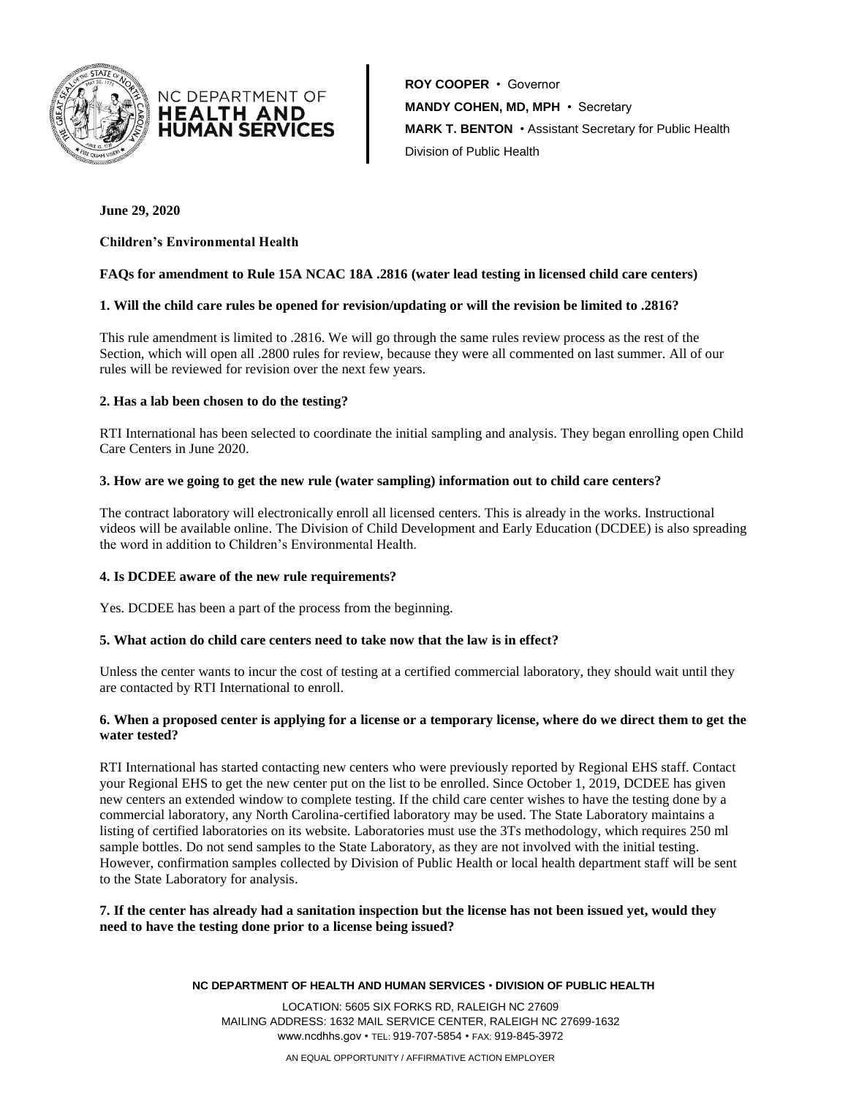



**ROY COOPER** • Governor **MANDY COHEN, MD, MPH** • Secretary **MARK T. BENTON** • Assistant Secretary for Public Health Division of Public Health

## **June 29, 2020**

## **Children's Environmental Health**

### **FAQs for amendment to Rule 15A NCAC 18A .2816 (water lead testing in licensed child care centers)**

#### **1. Will the child care rules be opened for revision/updating or will the revision be limited to .2816?**

This rule amendment is limited to .2816. We will go through the same rules review process as the rest of the Section, which will open all .2800 rules for review, because they were all commented on last summer. All of our rules will be reviewed for revision over the next few years.

#### **2. Has a lab been chosen to do the testing?**

RTI International has been selected to coordinate the initial sampling and analysis. They began enrolling open Child Care Centers in June 2020.

#### **3. How are we going to get the new rule (water sampling) information out to child care centers?**

The contract laboratory will electronically enroll all licensed centers. This is already in the works. Instructional videos will be available online. The Division of Child Development and Early Education (DCDEE) is also spreading the word in addition to Children's Environmental Health.

#### **4. Is DCDEE aware of the new rule requirements?**

Yes. DCDEE has been a part of the process from the beginning.

#### **5. What action do child care centers need to take now that the law is in effect?**

Unless the center wants to incur the cost of testing at a certified commercial laboratory, they should wait until they are contacted by RTI International to enroll.

### **6. When a proposed center is applying for a license or a temporary license, where do we direct them to get the water tested?**

RTI International has started contacting new centers who were previously reported by Regional EHS staff. Contact your Regional EHS to get the new center put on the list to be enrolled. Since October 1, 2019, DCDEE has given new centers an extended window to complete testing. If the child care center wishes to have the testing done by a commercial laboratory, any North Carolina-certified laboratory may be used. The State Laboratory maintains a listing of certified laboratories on its website. Laboratories must use the 3Ts methodology, which requires 250 ml sample bottles. Do not send samples to the State Laboratory, as they are not involved with the initial testing. However, confirmation samples collected by Division of Public Health or local health department staff will be sent to the State Laboratory for analysis.

**7. If the center has already had a sanitation inspection but the license has not been issued yet, would they need to have the testing done prior to a license being issued?**

#### **NC DEPARTMENT OF HEALTH AND HUMAN SERVICES** • **DIVISION OF PUBLIC HEALTH**

LOCATION: 5605 SIX FORKS RD, RALEIGH NC 27609 MAILING ADDRESS: 1632 MAIL SERVICE CENTER, RALEIGH NC 27699-1632 www.ncdhhs.gov • TEL: 919-707-5854 • FAX: 919-845-3972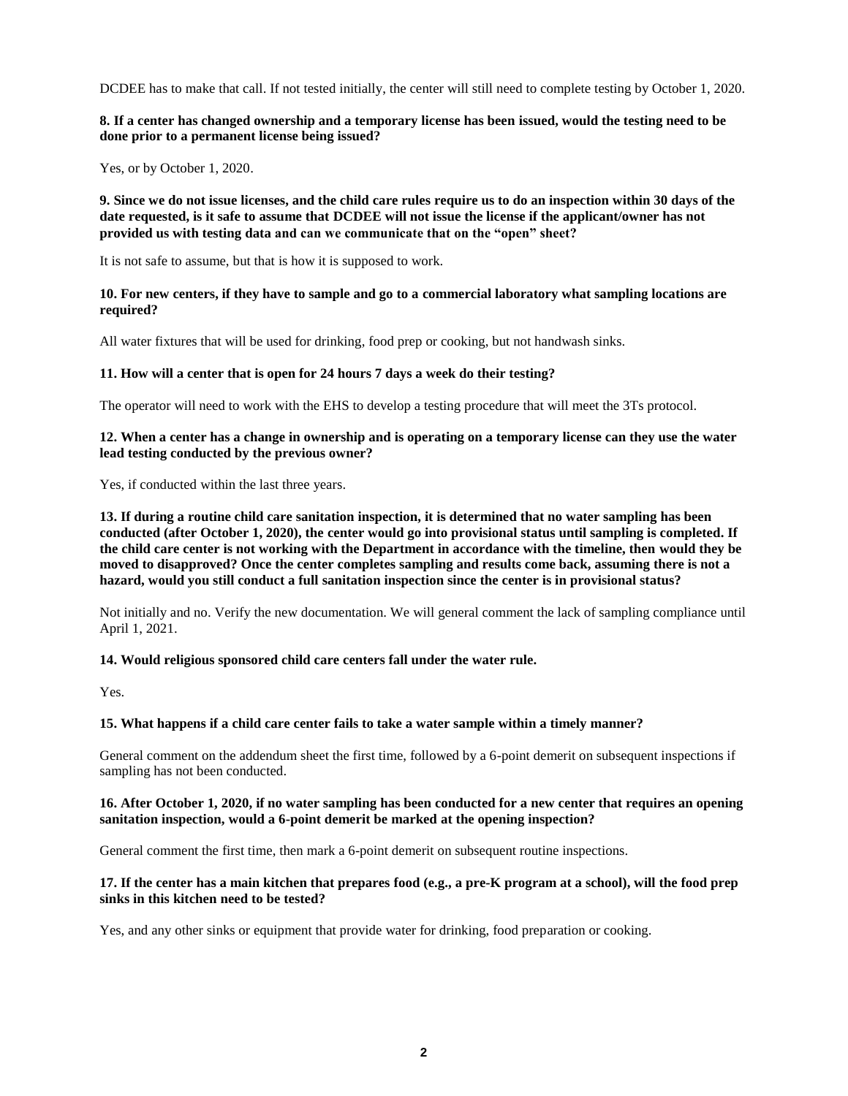DCDEE has to make that call. If not tested initially, the center will still need to complete testing by October 1, 2020.

## **8. If a center has changed ownership and a temporary license has been issued, would the testing need to be done prior to a permanent license being issued?**

Yes, or by October 1, 2020.

**9. Since we do not issue licenses, and the child care rules require us to do an inspection within 30 days of the date requested, is it safe to assume that DCDEE will not issue the license if the applicant/owner has not provided us with testing data and can we communicate that on the "open" sheet?**

It is not safe to assume, but that is how it is supposed to work.

**10. For new centers, if they have to sample and go to a commercial laboratory what sampling locations are required?**

All water fixtures that will be used for drinking, food prep or cooking, but not handwash sinks.

### **11. How will a center that is open for 24 hours 7 days a week do their testing?**

The operator will need to work with the EHS to develop a testing procedure that will meet the 3Ts protocol.

### **12. When a center has a change in ownership and is operating on a temporary license can they use the water lead testing conducted by the previous owner?**

Yes, if conducted within the last three years.

**13. If during a routine child care sanitation inspection, it is determined that no water sampling has been conducted (after October 1, 2020), the center would go into provisional status until sampling is completed. If the child care center is not working with the Department in accordance with the timeline, then would they be moved to disapproved? Once the center completes sampling and results come back, assuming there is not a hazard, would you still conduct a full sanitation inspection since the center is in provisional status?**

Not initially and no. Verify the new documentation. We will general comment the lack of sampling compliance until April 1, 2021.

## **14. Would religious sponsored child care centers fall under the water rule.**

Yes.

## **15. What happens if a child care center fails to take a water sample within a timely manner?**

General comment on the addendum sheet the first time, followed by a 6-point demerit on subsequent inspections if sampling has not been conducted.

### **16. After October 1, 2020, if no water sampling has been conducted for a new center that requires an opening sanitation inspection, would a 6-point demerit be marked at the opening inspection?**

General comment the first time, then mark a 6-point demerit on subsequent routine inspections.

### **17. If the center has a main kitchen that prepares food (e.g., a pre-K program at a school), will the food prep sinks in this kitchen need to be tested?**

Yes, and any other sinks or equipment that provide water for drinking, food preparation or cooking.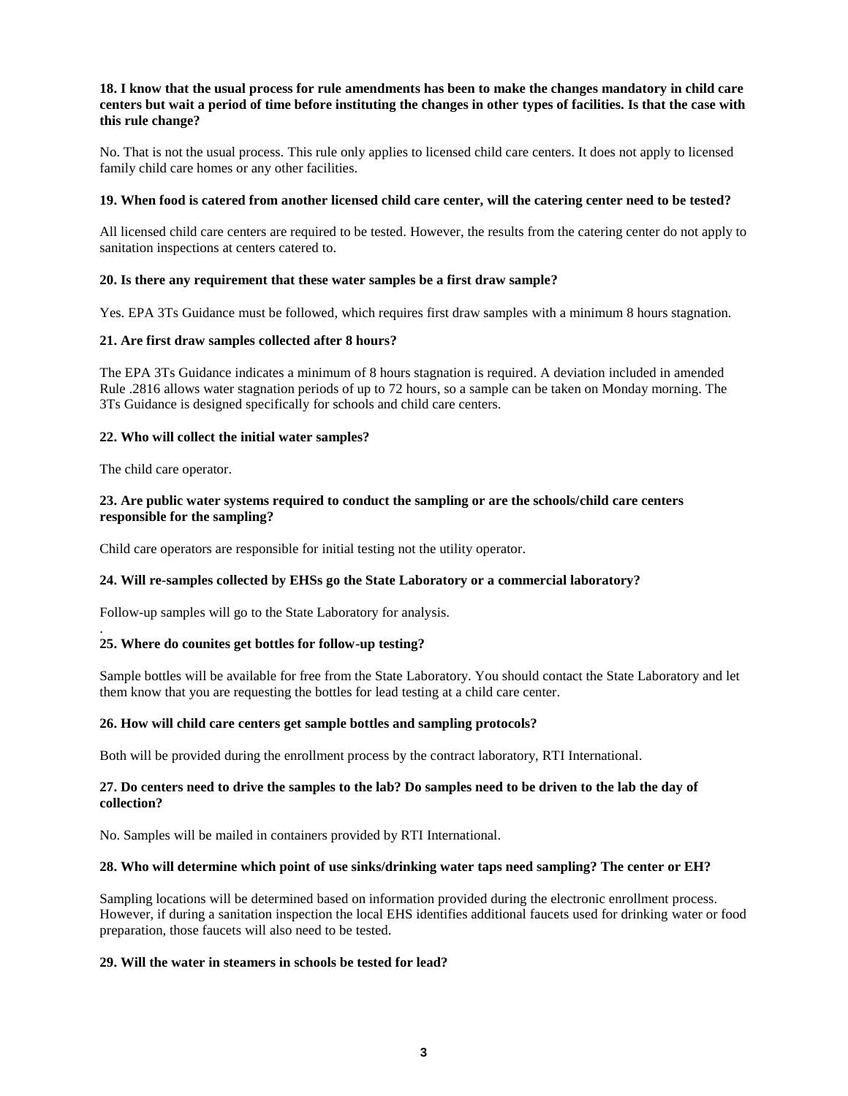## **18. I know that the usual process for rule amendments has been to make the changes mandatory in child care centers but wait a period of time before instituting the changes in other types of facilities. Is that the case with this rule change?**

No. That is not the usual process. This rule only applies to licensed child care centers. It does not apply to licensed family child care homes or any other facilities.

#### **19. When food is catered from another licensed child care center, will the catering center need to be tested?**

All licensed child care centers are required to be tested. However, the results from the catering center do not apply to sanitation inspections at centers catered to.

### **20. Is there any requirement that these water samples be a first draw sample?**

Yes. EPA 3Ts Guidance must be followed, which requires first draw samples with a minimum 8 hours stagnation.

### **21. Are first draw samples collected after 8 hours?**

The EPA 3Ts Guidance indicates a minimum of 8 hours stagnation is required. A deviation included in amended Rule .2816 allows water stagnation periods of up to 72 hours, so a sample can be taken on Monday morning. The 3Ts Guidance is designed specifically for schools and child care centers.

### **22. Who will collect the initial water samples?**

The child care operator.

### **23. Are public water systems required to conduct the sampling or are the schools/child care centers responsible for the sampling?**

Child care operators are responsible for initial testing not the utility operator.

## **24. Will re-samples collected by EHSs go the State Laboratory or a commercial laboratory?**

Follow-up samples will go to the State Laboratory for analysis.

#### . **25. Where do counites get bottles for follow-up testing?**

Sample bottles will be available for free from the State Laboratory. You should contact the State Laboratory and let them know that you are requesting the bottles for lead testing at a child care center.

#### **26. How will child care centers get sample bottles and sampling protocols?**

Both will be provided during the enrollment process by the contract laboratory, RTI International.

### **27. Do centers need to drive the samples to the lab? Do samples need to be driven to the lab the day of collection?**

No. Samples will be mailed in containers provided by RTI International.

### **28. Who will determine which point of use sinks/drinking water taps need sampling? The center or EH?**

Sampling locations will be determined based on information provided during the electronic enrollment process. However, if during a sanitation inspection the local EHS identifies additional faucets used for drinking water or food preparation, those faucets will also need to be tested.

### **29. Will the water in steamers in schools be tested for lead?**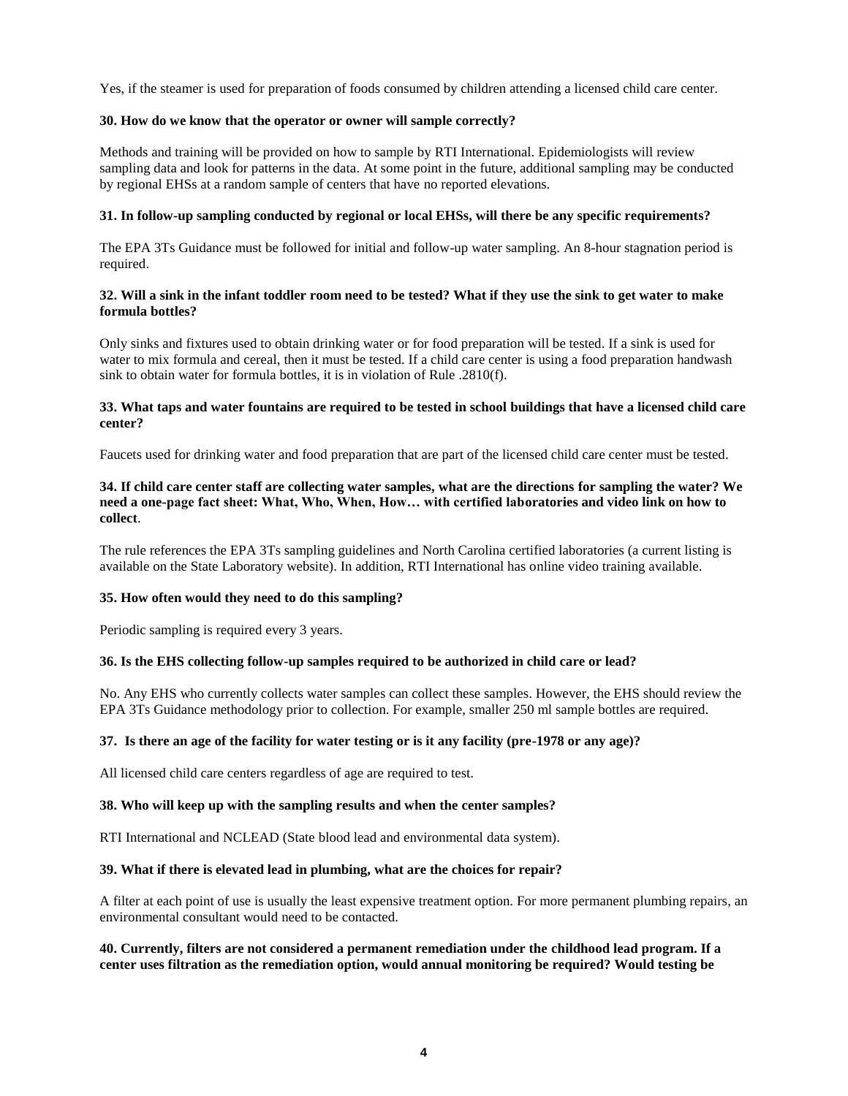Yes, if the steamer is used for preparation of foods consumed by children attending a licensed child care center.

### **30. How do we know that the operator or owner will sample correctly?**

Methods and training will be provided on how to sample by RTI International. Epidemiologists will review sampling data and look for patterns in the data. At some point in the future, additional sampling may be conducted by regional EHSs at a random sample of centers that have no reported elevations.

### **31. In follow-up sampling conducted by regional or local EHSs, will there be any specific requirements?**

The EPA 3Ts Guidance must be followed for initial and follow-up water sampling. An 8-hour stagnation period is required.

## **32. Will a sink in the infant toddler room need to be tested? What if they use the sink to get water to make formula bottles?**

Only sinks and fixtures used to obtain drinking water or for food preparation will be tested. If a sink is used for water to mix formula and cereal, then it must be tested. If a child care center is using a food preparation handwash sink to obtain water for formula bottles, it is in violation of Rule .2810(f).

## **33. What taps and water fountains are required to be tested in school buildings that have a licensed child care center?**

Faucets used for drinking water and food preparation that are part of the licensed child care center must be tested.

## **34. If child care center staff are collecting water samples, what are the directions for sampling the water? We need a one-page fact sheet: What, Who, When, How… with certified laboratories and video link on how to collect**.

The rule references the EPA 3Ts sampling guidelines and North Carolina certified laboratories (a current listing is available on the State Laboratory website). In addition, RTI International has online video training available.

#### **35. How often would they need to do this sampling?**

Periodic sampling is required every 3 years.

#### **36. Is the EHS collecting follow-up samples required to be authorized in child care or lead?**

No. Any EHS who currently collects water samples can collect these samples. However, the EHS should review the EPA 3Ts Guidance methodology prior to collection. For example, smaller 250 ml sample bottles are required.

#### **37. Is there an age of the facility for water testing or is it any facility (pre-1978 or any age)?**

All licensed child care centers regardless of age are required to test.

#### **38. Who will keep up with the sampling results and when the center samples?**

RTI International and NCLEAD (State blood lead and environmental data system).

#### **39. What if there is elevated lead in plumbing, what are the choices for repair?**

A filter at each point of use is usually the least expensive treatment option. For more permanent plumbing repairs, an environmental consultant would need to be contacted.

#### **40. Currently, filters are not considered a permanent remediation under the childhood lead program. If a center uses filtration as the remediation option, would annual monitoring be required? Would testing be**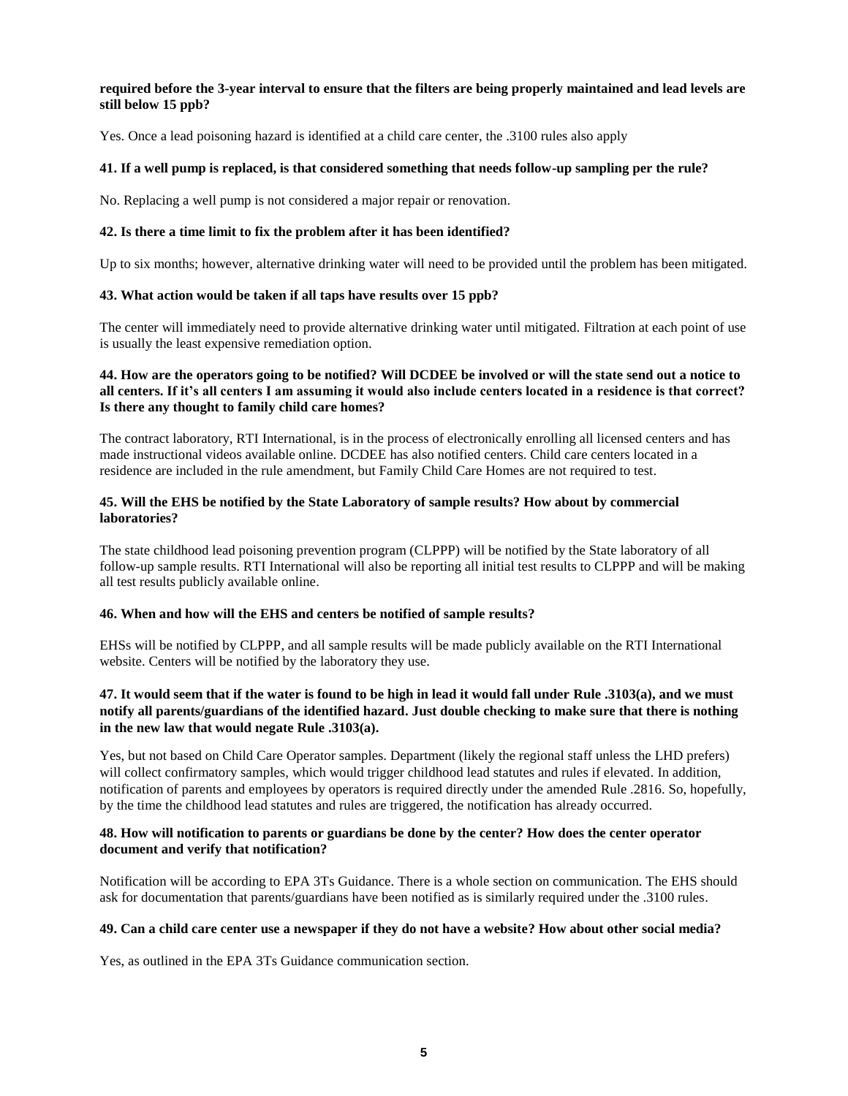### **required before the 3-year interval to ensure that the filters are being properly maintained and lead levels are still below 15 ppb?**

Yes. Once a lead poisoning hazard is identified at a child care center, the .3100 rules also apply

## **41. If a well pump is replaced, is that considered something that needs follow-up sampling per the rule?**

No. Replacing a well pump is not considered a major repair or renovation.

## **42. Is there a time limit to fix the problem after it has been identified?**

Up to six months; however, alternative drinking water will need to be provided until the problem has been mitigated.

## **43. What action would be taken if all taps have results over 15 ppb?**

The center will immediately need to provide alternative drinking water until mitigated. Filtration at each point of use is usually the least expensive remediation option.

## **44. How are the operators going to be notified? Will DCDEE be involved or will the state send out a notice to all centers. If it's all centers I am assuming it would also include centers located in a residence is that correct? Is there any thought to family child care homes?**

The contract laboratory, RTI International, is in the process of electronically enrolling all licensed centers and has made instructional videos available online. DCDEE has also notified centers. Child care centers located in a residence are included in the rule amendment, but Family Child Care Homes are not required to test.

### **45. Will the EHS be notified by the State Laboratory of sample results? How about by commercial laboratories?**

The state childhood lead poisoning prevention program (CLPPP) will be notified by the State laboratory of all follow-up sample results. RTI International will also be reporting all initial test results to CLPPP and will be making all test results publicly available online.

#### **46. When and how will the EHS and centers be notified of sample results?**

EHSs will be notified by CLPPP, and all sample results will be made publicly available on the RTI International website. Centers will be notified by the laboratory they use.

# **47. It would seem that if the water is found to be high in lead it would fall under Rule .3103(a), and we must notify all parents/guardians of the identified hazard. Just double checking to make sure that there is nothing in the new law that would negate Rule .3103(a).**

Yes, but not based on Child Care Operator samples. Department (likely the regional staff unless the LHD prefers) will collect confirmatory samples, which would trigger childhood lead statutes and rules if elevated. In addition, notification of parents and employees by operators is required directly under the amended Rule .2816. So, hopefully, by the time the childhood lead statutes and rules are triggered, the notification has already occurred.

## **48. How will notification to parents or guardians be done by the center? How does the center operator document and verify that notification?**

Notification will be according to EPA 3Ts Guidance. There is a whole section on communication. The EHS should ask for documentation that parents/guardians have been notified as is similarly required under the .3100 rules.

### **49. Can a child care center use a newspaper if they do not have a website? How about other social media?**

Yes, as outlined in the EPA 3Ts Guidance communication section.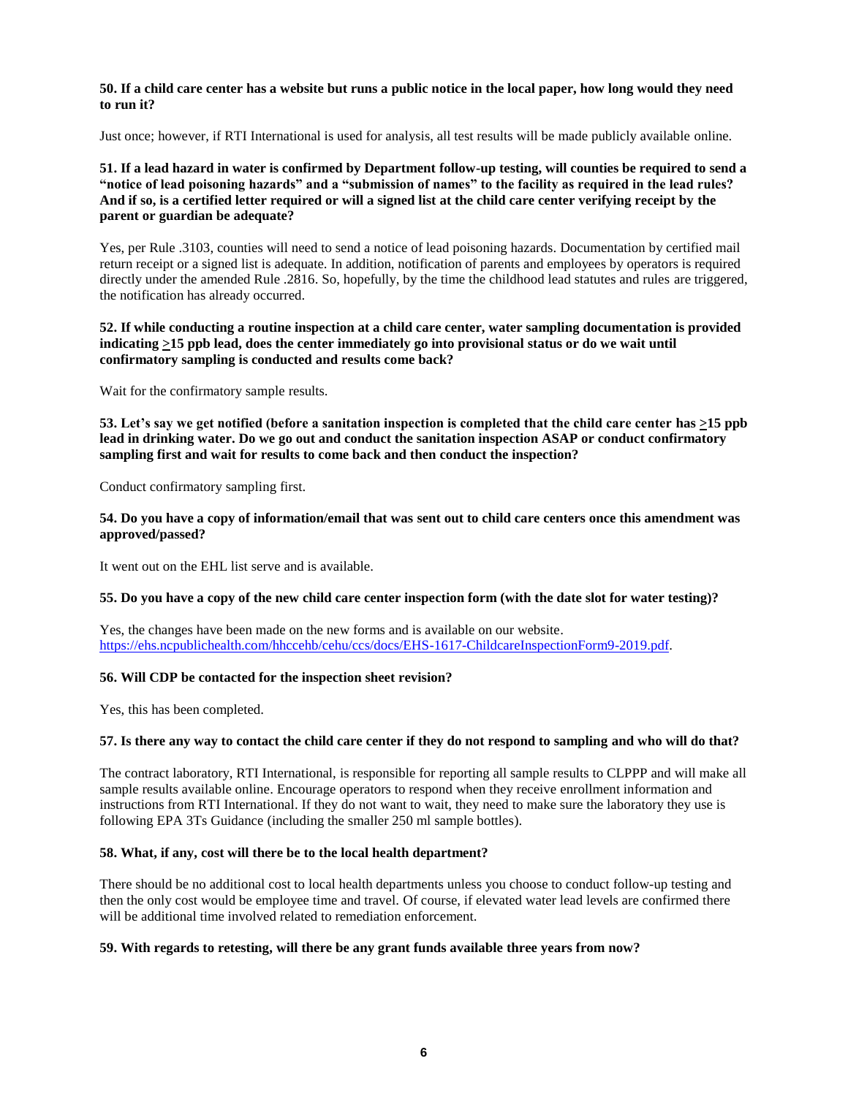#### **50. If a child care center has a website but runs a public notice in the local paper, how long would they need to run it?**

Just once; however, if RTI International is used for analysis, all test results will be made publicly available online.

## **51. If a lead hazard in water is confirmed by Department follow-up testing, will counties be required to send a "notice of lead poisoning hazards" and a "submission of names" to the facility as required in the lead rules? And if so, is a certified letter required or will a signed list at the child care center verifying receipt by the parent or guardian be adequate?**

Yes, per Rule .3103, counties will need to send a notice of lead poisoning hazards. Documentation by certified mail return receipt or a signed list is adequate. In addition, notification of parents and employees by operators is required directly under the amended Rule .2816. So, hopefully, by the time the childhood lead statutes and rules are triggered, the notification has already occurred.

### **52. If while conducting a routine inspection at a child care center, water sampling documentation is provided indicating >15 ppb lead, does the center immediately go into provisional status or do we wait until confirmatory sampling is conducted and results come back?**

Wait for the confirmatory sample results.

**53. Let's say we get notified (before a sanitation inspection is completed that the child care center has >15 ppb lead in drinking water. Do we go out and conduct the sanitation inspection ASAP or conduct confirmatory sampling first and wait for results to come back and then conduct the inspection?**

Conduct confirmatory sampling first.

### **54. Do you have a copy of information/email that was sent out to child care centers once this amendment was approved/passed?**

It went out on the EHL list serve and is available.

#### **55. Do you have a copy of the new child care center inspection form (with the date slot for water testing)?**

Yes, the changes have been made on the new forms and is available on our website. [https://ehs.ncpublichealth.com/hhccehb/cehu/ccs/docs/EHS-1617-ChildcareInspectionForm9-2019.pdf.](https://ehs.ncpublichealth.com/hhccehb/cehu/ccs/docs/EHS-1617-ChildcareInspectionForm9-2019.pdf) 

## **56. Will CDP be contacted for the inspection sheet revision?**

Yes, this has been completed.

#### **57. Is there any way to contact the child care center if they do not respond to sampling and who will do that?**

The contract laboratory, RTI International, is responsible for reporting all sample results to CLPPP and will make all sample results available online. Encourage operators to respond when they receive enrollment information and instructions from RTI International. If they do not want to wait, they need to make sure the laboratory they use is following EPA 3Ts Guidance (including the smaller 250 ml sample bottles).

#### **58. What, if any, cost will there be to the local health department?**

There should be no additional cost to local health departments unless you choose to conduct follow-up testing and then the only cost would be employee time and travel. Of course, if elevated water lead levels are confirmed there will be additional time involved related to remediation enforcement.

#### **59. With regards to retesting, will there be any grant funds available three years from now?**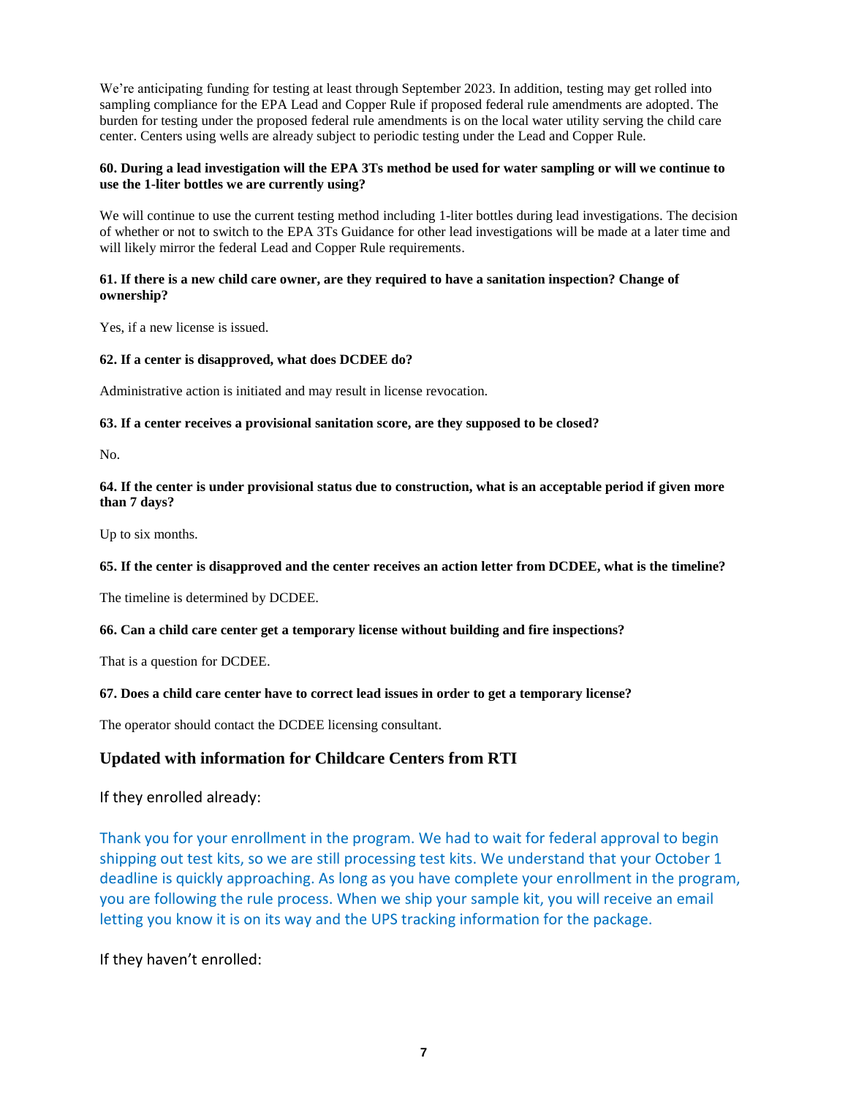We're anticipating funding for testing at least through September 2023. In addition, testing may get rolled into sampling compliance for the EPA Lead and Copper Rule if proposed federal rule amendments are adopted. The burden for testing under the proposed federal rule amendments is on the local water utility serving the child care center. Centers using wells are already subject to periodic testing under the Lead and Copper Rule.

## **60. During a lead investigation will the EPA 3Ts method be used for water sampling or will we continue to use the 1-liter bottles we are currently using?**

We will continue to use the current testing method including 1-liter bottles during lead investigations. The decision of whether or not to switch to the EPA 3Ts Guidance for other lead investigations will be made at a later time and will likely mirror the federal Lead and Copper Rule requirements.

### **61. If there is a new child care owner, are they required to have a sanitation inspection? Change of ownership?**

Yes, if a new license is issued.

## **62. If a center is disapproved, what does DCDEE do?**

Administrative action is initiated and may result in license revocation.

## **63. If a center receives a provisional sanitation score, are they supposed to be closed?**

No.

## **64. If the center is under provisional status due to construction, what is an acceptable period if given more than 7 days?**

Up to six months.

## **65. If the center is disapproved and the center receives an action letter from DCDEE, what is the timeline?**

The timeline is determined by DCDEE.

## **66. Can a child care center get a temporary license without building and fire inspections?**

That is a question for DCDEE.

## **67. Does a child care center have to correct lead issues in order to get a temporary license?**

The operator should contact the DCDEE licensing consultant.

# **Updated with information for Childcare Centers from RTI**

If they enrolled already:

Thank you for your enrollment in the program. We had to wait for federal approval to begin shipping out test kits, so we are still processing test kits. We understand that your October 1 deadline is quickly approaching. As long as you have complete your enrollment in the program, you are following the rule process. When we ship your sample kit, you will receive an email letting you know it is on its way and the UPS tracking information for the package.

If they haven't enrolled: